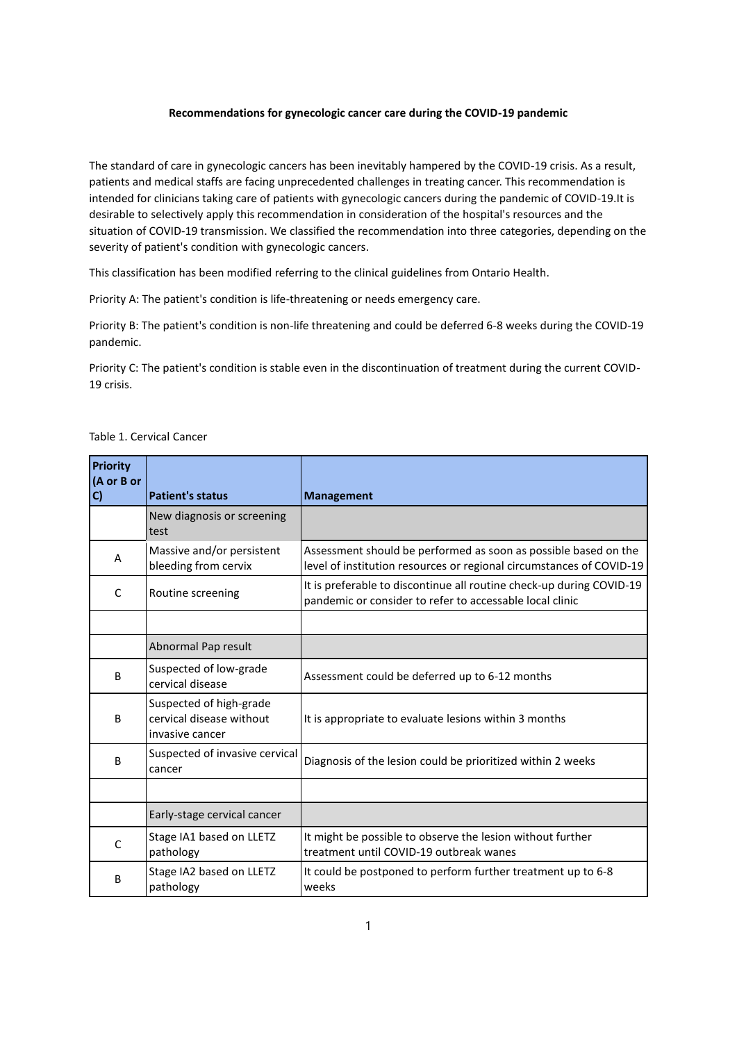#### **Recommendations for gynecologic cancer care during the COVID-19 pandemic**

The standard of care in gynecologic cancers has been inevitably hampered by the COVID-19 crisis. As a result, patients and medical staffs are facing unprecedented challenges in treating cancer. This recommendation is intended for clinicians taking care of patients with gynecologic cancers during the pandemic of COVID-19.It is desirable to selectively apply this recommendation in consideration of the hospital's resources and the situation of COVID-19 transmission. We classified the recommendation into three categories, depending on the severity of patient's condition with gynecologic cancers.

This classification has been modified referring to the clinical guidelines from Ontario Health.

Priority A: The patient's condition is life-threatening or needs emergency care.

Priority B: The patient's condition is non-life threatening and could be deferred 6-8 weeks during the COVID-19 pandemic.

Priority C: The patient's condition is stable even in the discontinuation of treatment during the current COVID-19 crisis.

| <b>Priority</b><br>(A or B or<br>C) | <b>Patient's status</b>                                                | <b>Management</b>                                                                                                                       |
|-------------------------------------|------------------------------------------------------------------------|-----------------------------------------------------------------------------------------------------------------------------------------|
|                                     | New diagnosis or screening<br>test                                     |                                                                                                                                         |
| A                                   | Massive and/or persistent<br>bleeding from cervix                      | Assessment should be performed as soon as possible based on the<br>level of institution resources or regional circumstances of COVID-19 |
| C                                   | Routine screening                                                      | It is preferable to discontinue all routine check-up during COVID-19<br>pandemic or consider to refer to accessable local clinic        |
|                                     |                                                                        |                                                                                                                                         |
|                                     | Abnormal Pap result                                                    |                                                                                                                                         |
| B                                   | Suspected of low-grade<br>cervical disease                             | Assessment could be deferred up to 6-12 months                                                                                          |
| B                                   | Suspected of high-grade<br>cervical disease without<br>invasive cancer | It is appropriate to evaluate lesions within 3 months                                                                                   |
| B                                   | Suspected of invasive cervical<br>cancer                               | Diagnosis of the lesion could be prioritized within 2 weeks                                                                             |
|                                     |                                                                        |                                                                                                                                         |
|                                     | Early-stage cervical cancer                                            |                                                                                                                                         |
| C                                   | Stage IA1 based on LLETZ<br>pathology                                  | It might be possible to observe the lesion without further<br>treatment until COVID-19 outbreak wanes                                   |
| B                                   | Stage IA2 based on LLETZ<br>pathology                                  | It could be postponed to perform further treatment up to 6-8<br>weeks                                                                   |

Table 1. Cervical Cancer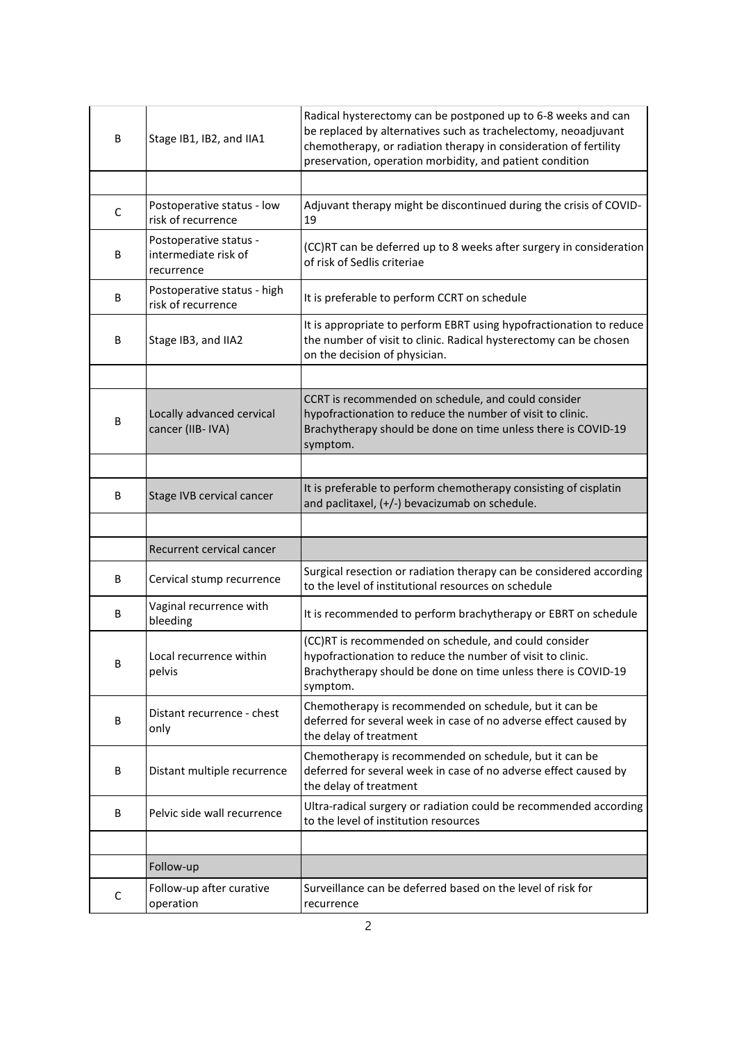| B | Stage IB1, IB2, and IIA1                                     | Radical hysterectomy can be postponed up to 6-8 weeks and can<br>be replaced by alternatives such as trachelectomy, neoadjuvant<br>chemotherapy, or radiation therapy in consideration of fertility<br>preservation, operation morbidity, and patient condition |
|---|--------------------------------------------------------------|-----------------------------------------------------------------------------------------------------------------------------------------------------------------------------------------------------------------------------------------------------------------|
|   |                                                              |                                                                                                                                                                                                                                                                 |
| C | Postoperative status - low<br>risk of recurrence             | Adjuvant therapy might be discontinued during the crisis of COVID-<br>19                                                                                                                                                                                        |
| B | Postoperative status -<br>intermediate risk of<br>recurrence | (CC)RT can be deferred up to 8 weeks after surgery in consideration<br>of risk of Sedlis criteriae                                                                                                                                                              |
| В | Postoperative status - high<br>risk of recurrence            | It is preferable to perform CCRT on schedule                                                                                                                                                                                                                    |
| B | Stage IB3, and IIA2                                          | It is appropriate to perform EBRT using hypofractionation to reduce<br>the number of visit to clinic. Radical hysterectomy can be chosen<br>on the decision of physician.                                                                                       |
|   |                                                              |                                                                                                                                                                                                                                                                 |
| B | Locally advanced cervical<br>cancer (IIB- IVA)               | CCRT is recommended on schedule, and could consider<br>hypofractionation to reduce the number of visit to clinic.<br>Brachytherapy should be done on time unless there is COVID-19<br>symptom.                                                                  |
|   |                                                              |                                                                                                                                                                                                                                                                 |
| B | Stage IVB cervical cancer                                    | It is preferable to perform chemotherapy consisting of cisplatin<br>and paclitaxel, (+/-) bevacizumab on schedule.                                                                                                                                              |
|   |                                                              |                                                                                                                                                                                                                                                                 |
|   | Recurrent cervical cancer                                    |                                                                                                                                                                                                                                                                 |
| B | Cervical stump recurrence                                    | Surgical resection or radiation therapy can be considered according<br>to the level of institutional resources on schedule                                                                                                                                      |
| В | Vaginal recurrence with<br>bleeding                          | It is recommended to perform brachytherapy or EBRT on schedule                                                                                                                                                                                                  |
| В | Local recurrence within<br>pelvis                            | (CC)RT is recommended on schedule, and could consider<br>hypofractionation to reduce the number of visit to clinic.<br>Brachytherapy should be done on time unless there is COVID-19<br>symptom.                                                                |
| В | Distant recurrence - chest<br>only                           | Chemotherapy is recommended on schedule, but it can be<br>deferred for several week in case of no adverse effect caused by<br>the delay of treatment                                                                                                            |
| B | Distant multiple recurrence                                  | Chemotherapy is recommended on schedule, but it can be<br>deferred for several week in case of no adverse effect caused by<br>the delay of treatment                                                                                                            |
| B | Pelvic side wall recurrence                                  | Ultra-radical surgery or radiation could be recommended according<br>to the level of institution resources                                                                                                                                                      |
|   |                                                              |                                                                                                                                                                                                                                                                 |
|   | Follow-up                                                    |                                                                                                                                                                                                                                                                 |
| C | Follow-up after curative<br>operation                        | Surveillance can be deferred based on the level of risk for<br>recurrence                                                                                                                                                                                       |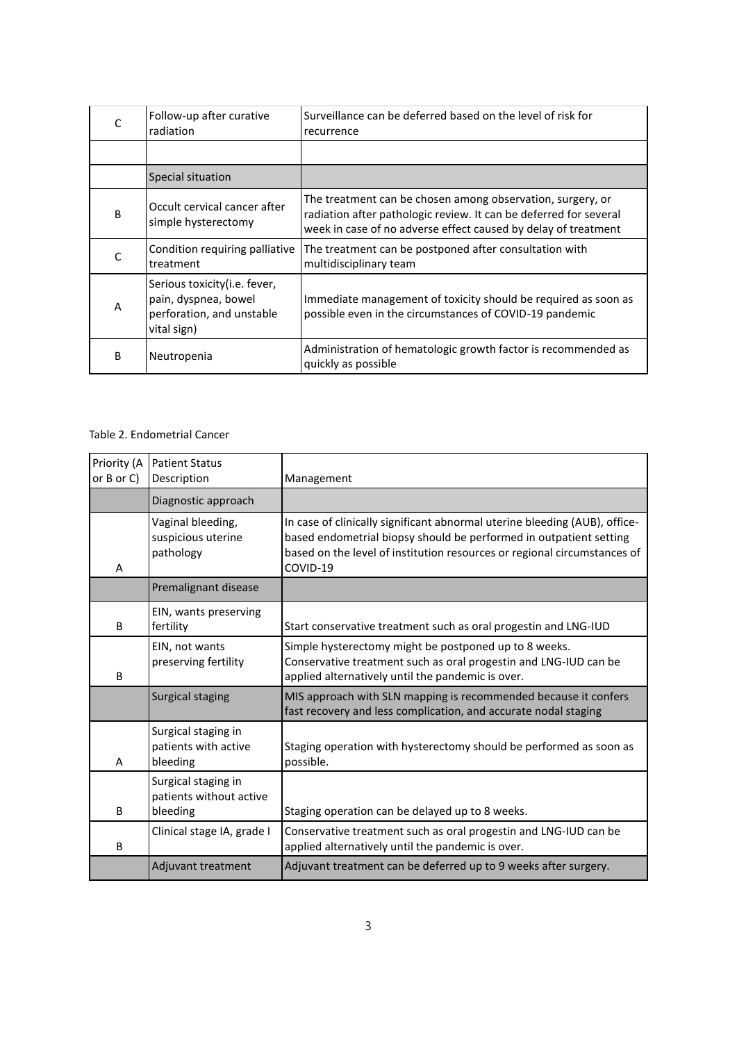|    | Follow-up after curative<br>radiation                                                             | Surveillance can be deferred based on the level of risk for<br>recurrence                                                                                                                         |
|----|---------------------------------------------------------------------------------------------------|---------------------------------------------------------------------------------------------------------------------------------------------------------------------------------------------------|
|    |                                                                                                   |                                                                                                                                                                                                   |
|    | Special situation                                                                                 |                                                                                                                                                                                                   |
| B  | Occult cervical cancer after<br>simple hysterectomy                                               | The treatment can be chosen among observation, surgery, or<br>radiation after pathologic review. It can be deferred for several<br>week in case of no adverse effect caused by delay of treatment |
|    | Condition requiring palliative<br>treatment                                                       | The treatment can be postponed after consultation with<br>multidisciplinary team                                                                                                                  |
| А  | Serious toxicity (i.e. fever,<br>pain, dyspnea, bowel<br>perforation, and unstable<br>vital sign) | Immediate management of toxicity should be required as soon as<br>possible even in the circumstances of COVID-19 pandemic                                                                         |
| B. | Neutropenia                                                                                       | Administration of hematologic growth factor is recommended as<br>quickly as possible                                                                                                              |

# Table 2. Endometrial Cancer

| Priority (A<br>or $B$ or $C$ ) | <b>Patient Status</b><br>Description                       | Management                                                                                                                                                                                                                               |
|--------------------------------|------------------------------------------------------------|------------------------------------------------------------------------------------------------------------------------------------------------------------------------------------------------------------------------------------------|
|                                | Diagnostic approach                                        |                                                                                                                                                                                                                                          |
| A                              | Vaginal bleeding,<br>suspicious uterine<br>pathology       | In case of clinically significant abnormal uterine bleeding (AUB), office-<br>based endometrial biopsy should be performed in outpatient setting<br>based on the level of institution resources or regional circumstances of<br>COVID-19 |
|                                | Premalignant disease                                       |                                                                                                                                                                                                                                          |
| B                              | EIN, wants preserving<br>fertility                         | Start conservative treatment such as oral progestin and LNG-IUD                                                                                                                                                                          |
| B                              | EIN, not wants<br>preserving fertility                     | Simple hysterectomy might be postponed up to 8 weeks.<br>Conservative treatment such as oral progestin and LNG-IUD can be<br>applied alternatively until the pandemic is over.                                                           |
|                                | Surgical staging                                           | MIS approach with SLN mapping is recommended because it confers<br>fast recovery and less complication, and accurate nodal staging                                                                                                       |
| A                              | Surgical staging in<br>patients with active<br>bleeding    | Staging operation with hysterectomy should be performed as soon as<br>possible.                                                                                                                                                          |
| B                              | Surgical staging in<br>patients without active<br>bleeding | Staging operation can be delayed up to 8 weeks.                                                                                                                                                                                          |
| B                              | Clinical stage IA, grade I                                 | Conservative treatment such as oral progestin and LNG-IUD can be<br>applied alternatively until the pandemic is over.                                                                                                                    |
|                                | Adjuvant treatment                                         | Adjuvant treatment can be deferred up to 9 weeks after surgery.                                                                                                                                                                          |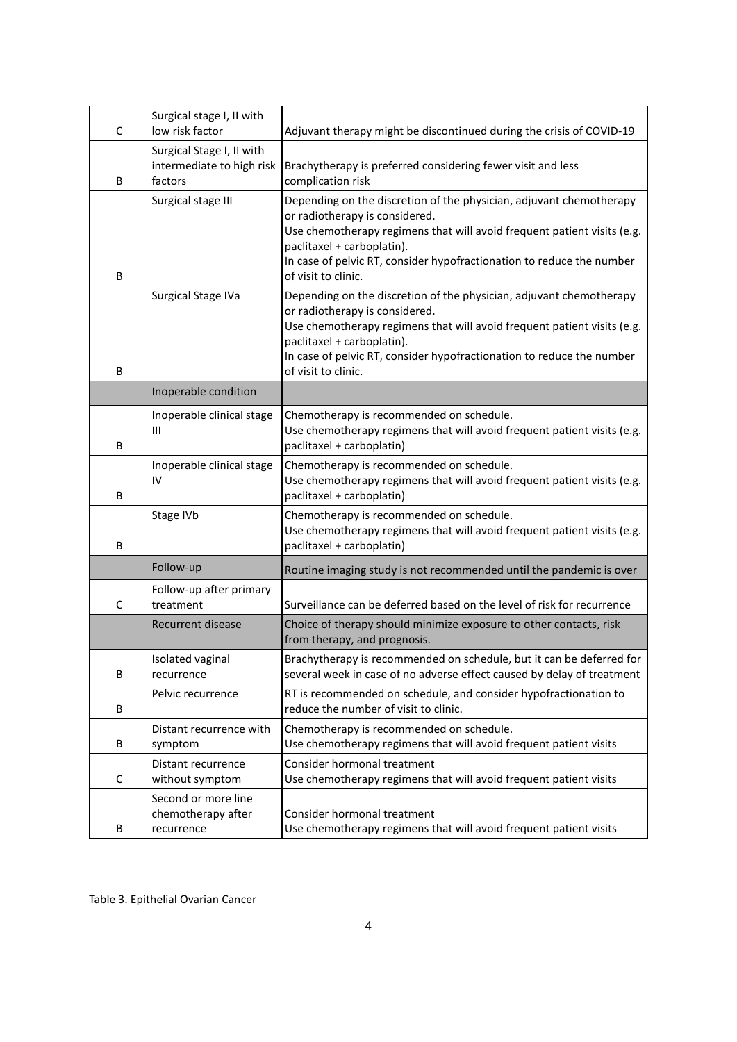| C | Surgical stage I, II with<br>low risk factor                      | Adjuvant therapy might be discontinued during the crisis of COVID-19                                                                                                                                                                                                                                           |
|---|-------------------------------------------------------------------|----------------------------------------------------------------------------------------------------------------------------------------------------------------------------------------------------------------------------------------------------------------------------------------------------------------|
| В | Surgical Stage I, II with<br>intermediate to high risk<br>factors | Brachytherapy is preferred considering fewer visit and less<br>complication risk                                                                                                                                                                                                                               |
| B | Surgical stage III                                                | Depending on the discretion of the physician, adjuvant chemotherapy<br>or radiotherapy is considered.<br>Use chemotherapy regimens that will avoid frequent patient visits (e.g.<br>paclitaxel + carboplatin).<br>In case of pelvic RT, consider hypofractionation to reduce the number<br>of visit to clinic. |
| B | Surgical Stage IVa                                                | Depending on the discretion of the physician, adjuvant chemotherapy<br>or radiotherapy is considered.<br>Use chemotherapy regimens that will avoid frequent patient visits (e.g.<br>paclitaxel + carboplatin).<br>In case of pelvic RT, consider hypofractionation to reduce the number<br>of visit to clinic. |
|   | Inoperable condition                                              |                                                                                                                                                                                                                                                                                                                |
| В | Inoperable clinical stage<br>Ш                                    | Chemotherapy is recommended on schedule.<br>Use chemotherapy regimens that will avoid frequent patient visits (e.g.<br>paclitaxel + carboplatin)                                                                                                                                                               |
| B | Inoperable clinical stage<br>IV                                   | Chemotherapy is recommended on schedule.<br>Use chemotherapy regimens that will avoid frequent patient visits (e.g.<br>paclitaxel + carboplatin)                                                                                                                                                               |
| В | Stage IVb                                                         | Chemotherapy is recommended on schedule.<br>Use chemotherapy regimens that will avoid frequent patient visits (e.g.<br>paclitaxel + carboplatin)                                                                                                                                                               |
|   | Follow-up                                                         | Routine imaging study is not recommended until the pandemic is over                                                                                                                                                                                                                                            |
| C | Follow-up after primary<br>treatment                              | Surveillance can be deferred based on the level of risk for recurrence                                                                                                                                                                                                                                         |
|   | <b>Recurrent disease</b>                                          | Choice of therapy should minimize exposure to other contacts, risk<br>from therapy, and prognosis.                                                                                                                                                                                                             |
| В | Isolated vaginal<br>recurrence                                    | Brachytherapy is recommended on schedule, but it can be deferred for<br>several week in case of no adverse effect caused by delay of treatment                                                                                                                                                                 |
| В | Pelvic recurrence                                                 | RT is recommended on schedule, and consider hypofractionation to<br>reduce the number of visit to clinic.                                                                                                                                                                                                      |
| В | Distant recurrence with<br>symptom                                | Chemotherapy is recommended on schedule.<br>Use chemotherapy regimens that will avoid frequent patient visits                                                                                                                                                                                                  |
| C | Distant recurrence<br>without symptom                             | Consider hormonal treatment<br>Use chemotherapy regimens that will avoid frequent patient visits                                                                                                                                                                                                               |
| В | Second or more line<br>chemotherapy after<br>recurrence           | Consider hormonal treatment<br>Use chemotherapy regimens that will avoid frequent patient visits                                                                                                                                                                                                               |

Table 3. Epithelial Ovarian Cancer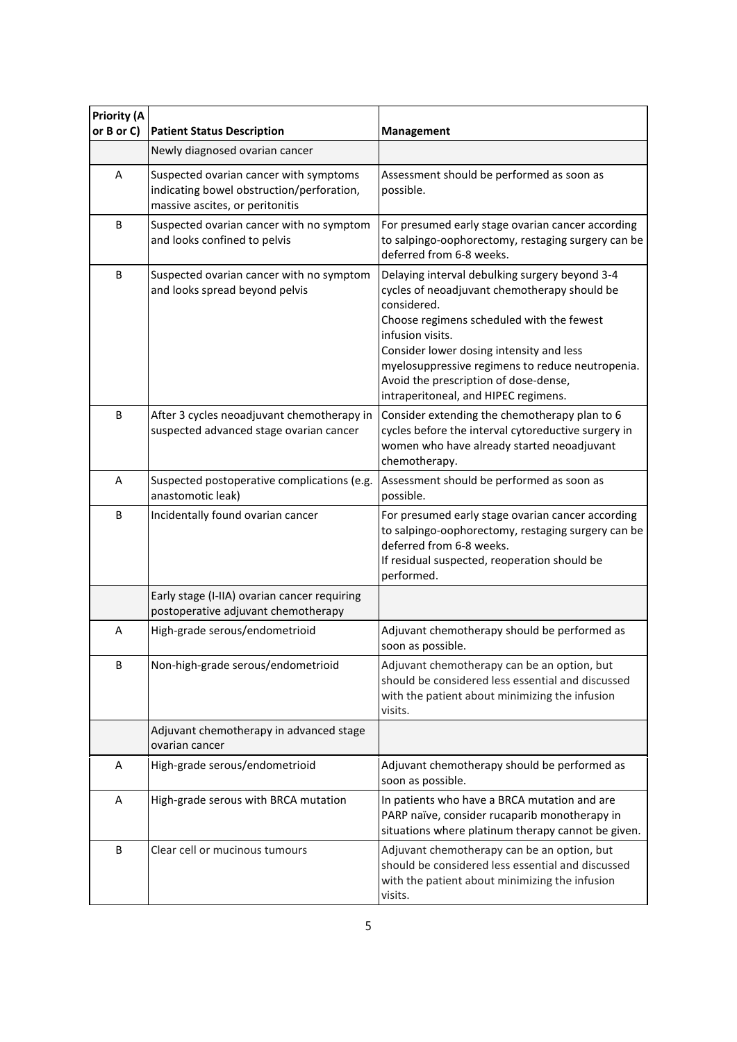| Priority (A<br>or B or C) | <b>Patient Status Description</b>                                                                                      | <b>Management</b>                                                                                                                                                                                                                                                                                                                                               |
|---------------------------|------------------------------------------------------------------------------------------------------------------------|-----------------------------------------------------------------------------------------------------------------------------------------------------------------------------------------------------------------------------------------------------------------------------------------------------------------------------------------------------------------|
|                           | Newly diagnosed ovarian cancer                                                                                         |                                                                                                                                                                                                                                                                                                                                                                 |
| A                         | Suspected ovarian cancer with symptoms<br>indicating bowel obstruction/perforation,<br>massive ascites, or peritonitis | Assessment should be performed as soon as<br>possible.                                                                                                                                                                                                                                                                                                          |
| B                         | Suspected ovarian cancer with no symptom<br>and looks confined to pelvis                                               | For presumed early stage ovarian cancer according<br>to salpingo-oophorectomy, restaging surgery can be<br>deferred from 6-8 weeks.                                                                                                                                                                                                                             |
| B                         | Suspected ovarian cancer with no symptom<br>and looks spread beyond pelvis                                             | Delaying interval debulking surgery beyond 3-4<br>cycles of neoadjuvant chemotherapy should be<br>considered.<br>Choose regimens scheduled with the fewest<br>infusion visits.<br>Consider lower dosing intensity and less<br>myelosuppressive regimens to reduce neutropenia.<br>Avoid the prescription of dose-dense,<br>intraperitoneal, and HIPEC regimens. |
| B                         | After 3 cycles neoadjuvant chemotherapy in<br>suspected advanced stage ovarian cancer                                  | Consider extending the chemotherapy plan to 6<br>cycles before the interval cytoreductive surgery in<br>women who have already started neoadjuvant<br>chemotherapy.                                                                                                                                                                                             |
| A                         | Suspected postoperative complications (e.g.<br>anastomotic leak)                                                       | Assessment should be performed as soon as<br>possible.                                                                                                                                                                                                                                                                                                          |
| B                         | Incidentally found ovarian cancer                                                                                      | For presumed early stage ovarian cancer according<br>to salpingo-oophorectomy, restaging surgery can be<br>deferred from 6-8 weeks.<br>If residual suspected, reoperation should be<br>performed.                                                                                                                                                               |
|                           | Early stage (I-IIA) ovarian cancer requiring<br>postoperative adjuvant chemotherapy                                    |                                                                                                                                                                                                                                                                                                                                                                 |
| A                         | High-grade serous/endometrioid                                                                                         | Adjuvant chemotherapy should be performed as<br>soon as possible.                                                                                                                                                                                                                                                                                               |
| B                         | Non-high-grade serous/endometrioid                                                                                     | Adjuvant chemotherapy can be an option, but<br>should be considered less essential and discussed<br>with the patient about minimizing the infusion<br>visits.                                                                                                                                                                                                   |
|                           | Adjuvant chemotherapy in advanced stage<br>ovarian cancer                                                              |                                                                                                                                                                                                                                                                                                                                                                 |
| A                         | High-grade serous/endometrioid                                                                                         | Adjuvant chemotherapy should be performed as<br>soon as possible.                                                                                                                                                                                                                                                                                               |
| Α                         | High-grade serous with BRCA mutation                                                                                   | In patients who have a BRCA mutation and are<br>PARP naïve, consider rucaparib monotherapy in<br>situations where platinum therapy cannot be given.                                                                                                                                                                                                             |
| B                         | Clear cell or mucinous tumours                                                                                         | Adjuvant chemotherapy can be an option, but<br>should be considered less essential and discussed<br>with the patient about minimizing the infusion<br>visits.                                                                                                                                                                                                   |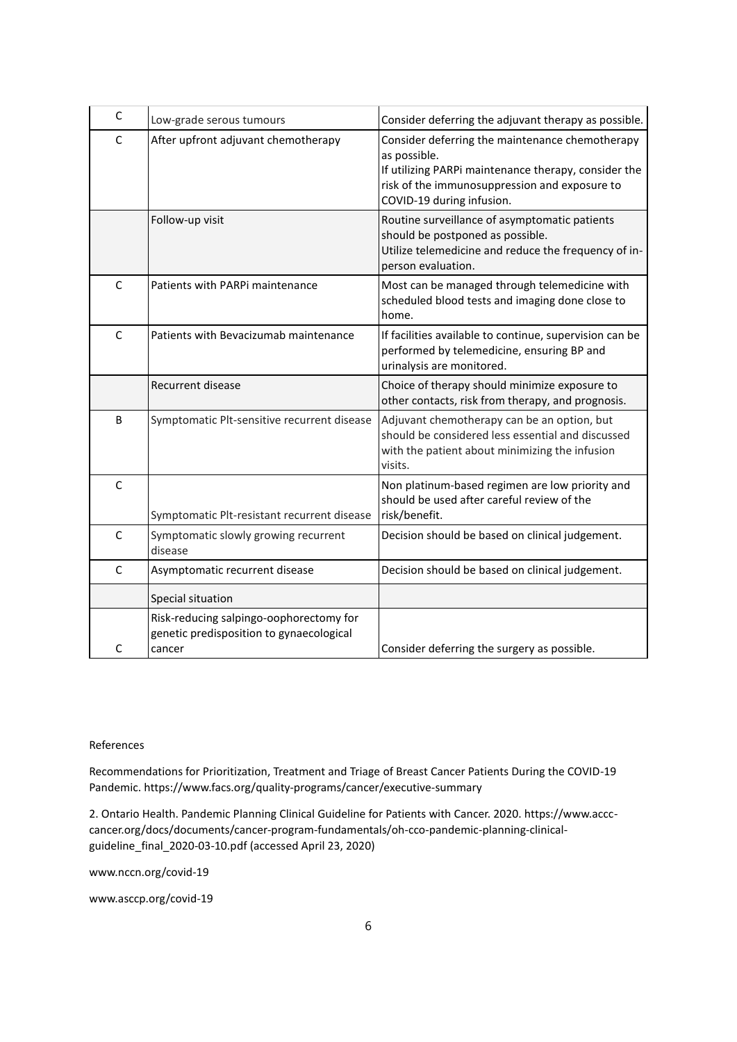| C            | Low-grade serous tumours                                                                      | Consider deferring the adjuvant therapy as possible.                                                                                                                                                  |
|--------------|-----------------------------------------------------------------------------------------------|-------------------------------------------------------------------------------------------------------------------------------------------------------------------------------------------------------|
| $\mathsf{C}$ | After upfront adjuvant chemotherapy                                                           | Consider deferring the maintenance chemotherapy<br>as possible.<br>If utilizing PARPi maintenance therapy, consider the<br>risk of the immunosuppression and exposure to<br>COVID-19 during infusion. |
|              | Follow-up visit                                                                               | Routine surveillance of asymptomatic patients<br>should be postponed as possible.<br>Utilize telemedicine and reduce the frequency of in-<br>person evaluation.                                       |
| C            | Patients with PARPi maintenance                                                               | Most can be managed through telemedicine with<br>scheduled blood tests and imaging done close to<br>home.                                                                                             |
| $\mathsf{C}$ | Patients with Bevacizumab maintenance                                                         | If facilities available to continue, supervision can be<br>performed by telemedicine, ensuring BP and<br>urinalysis are monitored.                                                                    |
|              | <b>Recurrent disease</b>                                                                      | Choice of therapy should minimize exposure to<br>other contacts, risk from therapy, and prognosis.                                                                                                    |
| B            | Symptomatic Plt-sensitive recurrent disease                                                   | Adjuvant chemotherapy can be an option, but<br>should be considered less essential and discussed<br>with the patient about minimizing the infusion<br>visits.                                         |
| C            | Symptomatic Plt-resistant recurrent disease                                                   | Non platinum-based regimen are low priority and<br>should be used after careful review of the<br>risk/benefit.                                                                                        |
| $\mathsf{C}$ | Symptomatic slowly growing recurrent<br>disease                                               | Decision should be based on clinical judgement.                                                                                                                                                       |
| $\mathsf{C}$ | Asymptomatic recurrent disease                                                                | Decision should be based on clinical judgement.                                                                                                                                                       |
|              | Special situation                                                                             |                                                                                                                                                                                                       |
| C            | Risk-reducing salpingo-oophorectomy for<br>genetic predisposition to gynaecological<br>cancer | Consider deferring the surgery as possible.                                                                                                                                                           |

## References

Recommendations for Prioritization, Treatment and Triage of Breast Cancer Patients During the COVID-19 Pandemic[. https://www.facs.org/quality-programs/cancer/executive-summary](https://www.facs.org/quality-programs/cancer/executive-summary)

2. Ontario Health. Pandemic Planning Clinical Guideline for Patients with Cancer. 2020. https://www.accccancer.org/docs/documents/cancer-program-fundamentals/oh-cco-pandemic-planning-clinicalguideline\_final\_2020-03-10.pdf (accessed April 23, 2020)

[www.nccn.org/covid-19](http://www.nccn.org/covid-19)

[www.asccp.org/covid-19](http://www.asccp.org/covid-19)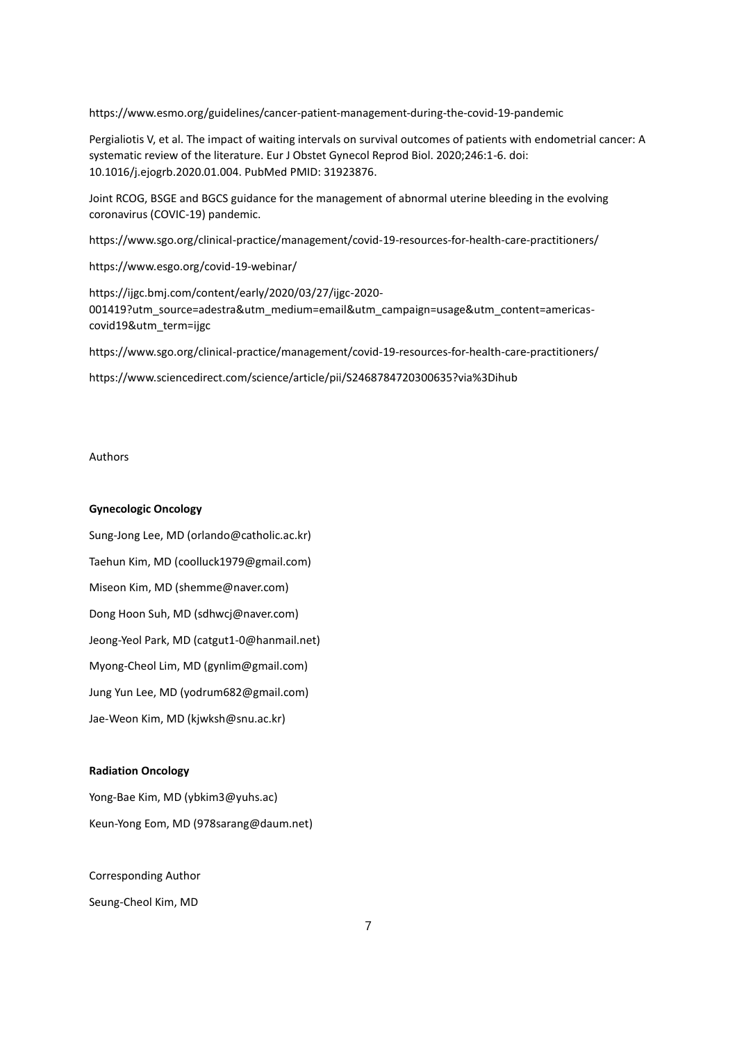https://www.esmo.org/guidelines/cancer-patient-management-during-the-covid-19-pandemic

Pergialiotis V, et al. The impact of waiting intervals on survival outcomes of patients with endometrial cancer: A systematic review of the literature. Eur J Obstet Gynecol Reprod Biol. 2020;246:1-6. doi: 10.1016/j.ejogrb.2020.01.004. PubMed PMID: 31923876.

Joint RCOG, BSGE and BGCS guidance for the management of abnormal uterine bleeding in the evolving coronavirus (COVIC-19) pandemic.

<https://www.sgo.org/clinical-practice/management/covid-19-resources-for-health-care-practitioners/>

https://www.esgo.org/covid-19-webinar/

[https://ijgc.bmj.com/content/early/2020/03/27/ijgc-2020-](https://ijgc.bmj.com/content/early/2020/03/27/ijgc-2020-001419?utm_source=adestra&utm_medium=email&utm_campaign=usage&utm_content=americas-covid19&utm_term=ijgc) [001419?utm\\_source=adestra&utm\\_medium=email&utm\\_campaign=usage&utm\\_content=americas](https://ijgc.bmj.com/content/early/2020/03/27/ijgc-2020-001419?utm_source=adestra&utm_medium=email&utm_campaign=usage&utm_content=americas-covid19&utm_term=ijgc)[covid19&utm\\_term=ijgc](https://ijgc.bmj.com/content/early/2020/03/27/ijgc-2020-001419?utm_source=adestra&utm_medium=email&utm_campaign=usage&utm_content=americas-covid19&utm_term=ijgc)

<https://www.sgo.org/clinical-practice/management/covid-19-resources-for-health-care-practitioners/>

<https://www.sciencedirect.com/science/article/pii/S2468784720300635?via%3Dihub>

## Authors

## **Gynecologic Oncology**

Sung-Jong Lee, MD (orlando@catholic.ac.kr) Taehun Kim, MD (coolluck1979@gmail.com) Miseon Kim, MD (shemme@naver.com) Dong Hoon Suh, MD [\(sdhwcj@naver.com\)](mailto:sdhwcj@naver.com) Jeong-Yeol Park, MD (catgut1-0@hanmail.net) Myong-Cheol Lim, MD [\(gynlim@gmail.com\)](mailto:gynlim@gmail.com) Jung Yun Lee, MD (yodrum682@gmail.com) Jae-Weon Kim, MD (kjwksh@snu.ac.kr)

#### **Radiation Oncology**

Yong-Bae Kim, MD (ybkim3@yuhs.ac) Keun-Yong Eom, MD (978sarang@daum.net)

Corresponding Author Seung-Cheol Kim, MD